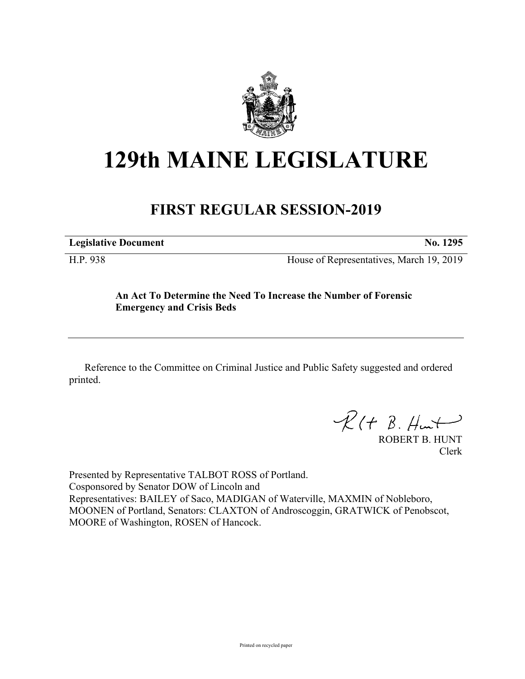

## **129th MAINE LEGISLATURE**

## **FIRST REGULAR SESSION-2019**

**Legislative Document No. 1295**

H.P. 938 House of Representatives, March 19, 2019

## **An Act To Determine the Need To Increase the Number of Forensic Emergency and Crisis Beds**

Reference to the Committee on Criminal Justice and Public Safety suggested and ordered printed.

 $R(H B. H<sub>un</sub>+)$ 

ROBERT B. HUNT Clerk

Presented by Representative TALBOT ROSS of Portland. Cosponsored by Senator DOW of Lincoln and Representatives: BAILEY of Saco, MADIGAN of Waterville, MAXMIN of Nobleboro, MOONEN of Portland, Senators: CLAXTON of Androscoggin, GRATWICK of Penobscot, MOORE of Washington, ROSEN of Hancock.